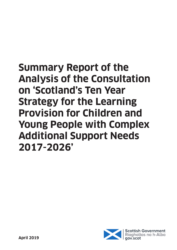# **Summary Report of the Analysis of the Consultation on 'Scotland's Ten Year Strategy for the Learning Provision for Children and Young People with Complex Additional Support Needs 2017-2026'**

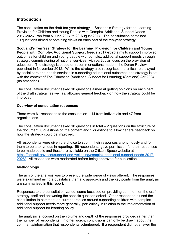# **Introduction**

The consultation on the draft ten-year strategy – 'Scotland's Strategy for the Learning Provision for Children and Young People with Complex Additional Support Needs 2017-2026', ran from 5 June 2017 to 28 August 2017. The consultation contained 10 questions aimed at obtaining views on each part of the ten-year strategy.

**Scotland's Ten Year Strategy for the Learning Provision for Children and Young People with Complex Additional Support Needs 2017-2026** aims to support improved outcomes for children and young people with complex additional support needs through strategic commissioning of national services, with particular focus on the provision of education. The strategy is based on recommendations made in the Doran Review published in November 2012. While the strategy also recognises the critical role played by social care and health services in supporting educational outcomes, the strategy is set with the context of The Education (Additional Support for Learning) (Scotland) Act 2004, (as amended).

The consultation document asked 10 questions aimed at getting opinions on each part of the draft strategy, as well as, allowing general feedback on how the strategy could be improved.

#### **Overview of consultation responses**

There were 61 responses to the consultation – 14 from individuals and 47 from organisations.

The consultation document asked 10 questions in total – 2 questions on the structure of the document, 6 questions on the content and 2 questions to allow general feedback on how the strategy could be improved.

All respondents were given the choice to submit their responses anonymously and for them to be anonymous in reporting. 56 respondents gave permission for their responses to be made public and these are available on the Citizen Space website at [https://consult.gov.scot/support-and-wellbeing/complex-additional-support-needs-2017-](https://consult.gov.scot/support-and-wellbeing/complex-additional-support-needs-2017-2026/) [2026/.](https://consult.gov.scot/support-and-wellbeing/complex-additional-support-needs-2017-2026/) All responses were moderated before being approved for publication.

#### **Methodology**

The aim of the analysis was to present the wide range of views offered. The responses were examined using a qualitative thematic approach and the key points from the analysis are summarised in this report.

Responses to the consultation varied, some focussed on providing comment on the draft strategy itself and answering the specific question asked. Other respondents used the consultation to comment on current practice around supporting children with complex additional support needs more generally, particularly in relation to the implementation of additional support for learning policy.

The analysis is focused on the volume and depth of the responses provided rather than the number of respondents. In other words, conclusions can only be drawn about the comments/information that respondents volunteered. If a respondent did not answer the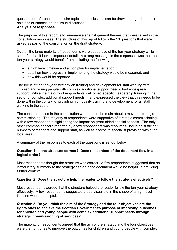question, or reference a particular topic, no conclusions can be drawn in regards to their opinions or stances on the issue discussed.

#### **Analysis of responses**

The purpose of this report is to summarise against general themes that were raised in the consultation responses. The structure of this report follows the 10 questions that were asked as part of the consultation on the draft strategy.

Overall the large majority of respondents were supportive of the ten-year strategy while some felt that it lacked important detail. A strong message in the responses was that the ten-year strategy would benefit from including the following:

- a high level timeline and action plan for implementation;
- detail on how progress in implementing the strategy would be measured; and
- how this would be reported.

The focus of the ten-year strategy on training and development for staff working with children and young people with complex additional support needs, had widespread support. While the majority of respondents welcomed specific Leadership training in the sector of complex additional support needs, many expressed the view that this needs to be done within the context of providing high quality training and development for all staff working in the sector.

The concerns raised in the consultation were not, in the main about a move to strategic commissioning. The majority of respondents were supportive of strategic commissioning with a few respondents highlighting the impact on grant-aided special schools. The only other common concern reported by a few respondents was resources, including sufficient numbers of teachers and support staff, as well as access to specialist provision within the local area.

A summary of the responses to each of the questions is set out below.

#### **Question 1: Is the structure correct? Does the content of the document flow in a logical order?**

Most respondents thought the structure was correct. A few respondents suggested that an introductory summary to the strategy earlier in the document would be helpful in providing further context

### **Question 2: Does the structure help the reader to follow the strategy effectively?**

Most respondents agreed that the structure helped the reader follow the ten-year strategy effectively. A few respondents suggested that a visual aid in the shape of a high-level timeline would be helpful.

#### **Question 3: Do you think the aim of the Strategy and the four objectives are the rights ones to achieve the Scottish Government's purpose of improving outcomes for children and young people with complex additional support needs through strategic commissioning of services?**

The majority of respondents agreed that the aim of the strategy and the four objectives were the right ones to improve the outcomes for children and young people with complex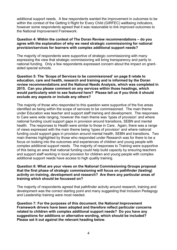additional support needs. A few respondents wanted the improvement in outcomes to be within the context of the Getting it Right for Every Child (GIRFEC) wellbeing indicators, however some respondents agreed that it was reasonable to link improved outcomes to the National Improvement Framework.

#### **Question 4: Within the context of The Doran Review recommendations – do you agree with the explanation of why we need strategic commissioning for national provision/services for learners with complex additional support needs?**

The majority of respondents were supportive of strategic commissioning with many expressing the view that strategic commissioning will bring transparency and parity to national funding. Only a few respondents expressed concern about the impact on grantaided special schools.

**Question 5: The 'Scope of Services to be commissioned' on page 8 relate to education, care and health, research and training and is informed by the Doran review recommendations and the National Needs Analysis, which was completed in 2015. Can you please comment on any services within those headings, which would particularly wish to see featured here? Please tell us if you think it should exclude any aspects or include any others?**

The majority of those who responded to this question were supportive of the five areas identified as being within the scope of services to be commissioned. The main theme under Education was teacher and support staff training and development. The responses to Care were wide ranging, however the main theme was 'types of provision' and where national funding could support gaps in provision around transitions, SEBN and mental health. The responses to Health were similar to those in Care. Again, there was a range of views expressed with the main theme being 'types of provision' and where national funding could support gaps in provision around mental health, SEBN and transitions. Two main themes highlighted by those who responded under Research was for there to be a focus on looking into the outcomes and experiences of children and young people with complex additional support needs. The majority of responses to Training were supportive of this being an area that national funding could help build capacity by ensuring teachers and support staff working in local provision for children and young people with complex additional support needs have access to high quality training.

#### **Question 6: What are your views on the National Commissioning Groups proposal that the first phase of strategic commissioning will focus on pathfinder (testing) activity on training, development and research? Are there any particular areas of training which should be focussed on?**

The majority of respondents agreed that pathfinder activity around research, training and development was the correct starting point and many suggesting that Inclusion Pedagogy and Leadership training were most needed.

**Question 7: For the purposes of this document, the National Improvement Framework drivers have been adopted and therefore reflect particular concerns related to children with complex additional support needs? Do you have any suggestions for additions or alternative wording, which should be included? Please set it out against the relevant heading below.**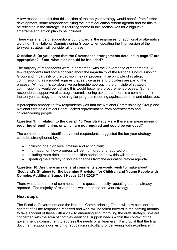A few respondents felt that this section of the ten-year strategy would benefit from further development, some respondents citing the latest education reform agenda and for this to be reflected in the strategy. A recurring theme in this section was for a high level timeframe and action plan to be included.

There was a range of suggestions put forward in the responses for additional or alternative wording. The National Commissioning Group, when updating the final version of the ten-year strategy, will consider all of these.

#### **Question 8: Do you agree that the Governance arrangements detailed in page 17 are appropriate? If not, what else should be included?**

The majority of respondents were in agreement with the Governance arrangements. A few respondents had some concern about the impartiality of the National Commissioning Group and impartiality of the decision making process. The principle of strategic commissioning as a model requires that service uses and providers are part of the process. Without this collaborative partnership approach, the principle of strategic commissioning would be lost and this would become a procurement process. Some respondents supportive of strategic commissioning asked that there is a commitment in the ten-year strategy to provide regular progress reporting against the aims and objectives.

A perception amongst a few respondents was that the National Commissioning Group and National Strategic Project Board, lacked representation from parent/carers and children/young people.

#### **Question 9: In relation to the overall 10 Year Strategy – are there any areas missing, requiring strengthening, or which are not required and could be removed?**

The common themes identified by most respondents suggested the ten-year strategy could be strengthened by:

- Inclusion of a high level timeline and action plan;
- Information on how progress will be monitored and reported on;
- Including more detail on the transition period and how this will be managed;
- Updating the strategy to include changes from the education reform agenda.

#### **Question 10: Are there any general comments you would wish to make about 'Scotland's Strategy for the Learning Provision for Children and Young People with Complex Additional Support Needs 2017-2026'?**

There was a broad mix of comments to this question mostly repeating themes already reported. The majority of respondents welcomed the ten-year strategy.

## **Next steps**

The Scottish Government and the National Commissioning Group will now consider the content of all the responses received and work will be taken forward in the coming months to take account of these with a view to amending and improving the draft strategy. We are concerned with the area of complex additional support needs within the context of the government's commitment to address the needs of all learners. It is crucial that the final document supports our vision for education in Scotland of delivering both excellence in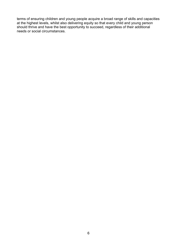terms of ensuring children and young people acquire a broad range of skills and capacities at the highest levels, whilst also delivering equity so that every child and young person should thrive and have the best opportunity to succeed, regardless of their additional needs or social circumstances.